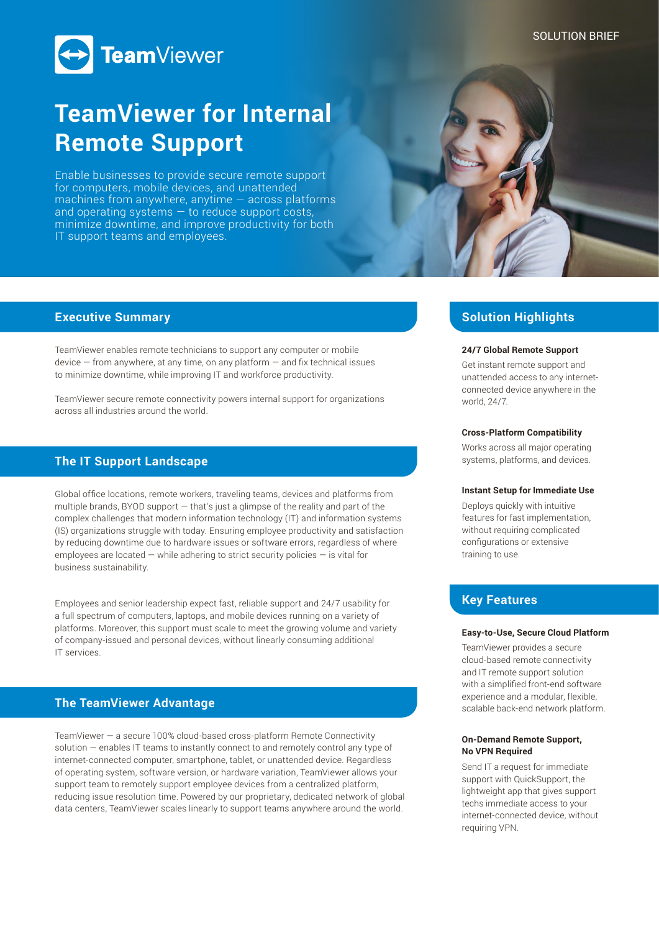## SOLUTION BRIEF



# **TeamViewer for Internal Remote Support**

Enable businesses to provide secure remote support for computers, mobile devices, and unattended machines from anywhere, anytime — across platforms and operating systems  $-$  to reduce support costs, minimize downtime, and improve productivity for both IT support teams and employees.



## **Executive Summary**

TeamViewer enables remote technicians to support any computer or mobile  $device$  – from anywhere, at any time, on any platform  $-$  and fix technical issues to minimize downtime, while improving IT and workforce productivity.

TeamViewer secure remote connectivity powers internal support for organizations across all industries around the world.

# **The IT Support Landscape**

Global office locations, remote workers, traveling teams, devices and platforms from multiple brands, BYOD support — that's just a glimpse of the reality and part of the complex challenges that modern information technology (IT) and information systems (IS) organizations struggle with today. Ensuring employee productivity and satisfaction by reducing downtime due to hardware issues or software errors, regardless of where employees are located  $-$  while adhering to strict security policies  $-$  is vital for business sustainability.

Employees and senior leadership expect fast, reliable support and 24/7 usability for a full spectrum of computers, laptops, and mobile devices running on a variety of platforms. Moreover, this support must scale to meet the growing volume and variety of company-issued and personal devices, without linearly consuming additional IT services.

# **The TeamViewer Advantage**

TeamViewer — a secure 100% cloud-based cross-platform Remote Connectivity solution — enables IT teams to instantly connect to and remotely control any type of internet-connected computer, smartphone, tablet, or unattended device. Regardless of operating system, software version, or hardware variation, TeamViewer allows your support team to remotely support employee devices from a centralized platform, reducing issue resolution time. Powered by our proprietary, dedicated network of global data centers, TeamViewer scales linearly to support teams anywhere around the world.

# **Solution Highlights**

## **24/7 Global Remote Support**

Get instant remote support and unattended access to any internetconnected device anywhere in the world, 24/7.

### **Cross-Platform Compatibility**

Works across all major operating systems, platforms, and devices.

#### **Instant Setup for Immediate Use**

Deploys quickly with intuitive features for fast implementation, without requiring complicated configurations or extensive training to use.

# **Key Features**

#### **Easy-to-Use, Secure Cloud Platform**

TeamViewer provides a secure cloud-based remote connectivity and IT remote support solution with a simplified front-end software experience and a modular, flexible, scalable back-end network platform.

## **On-Demand Remote Support, No VPN Required**

Send IT a request for immediate support with QuickSupport, the lightweight app that gives support techs immediate access to your internet-connected device, without requiring VPN.